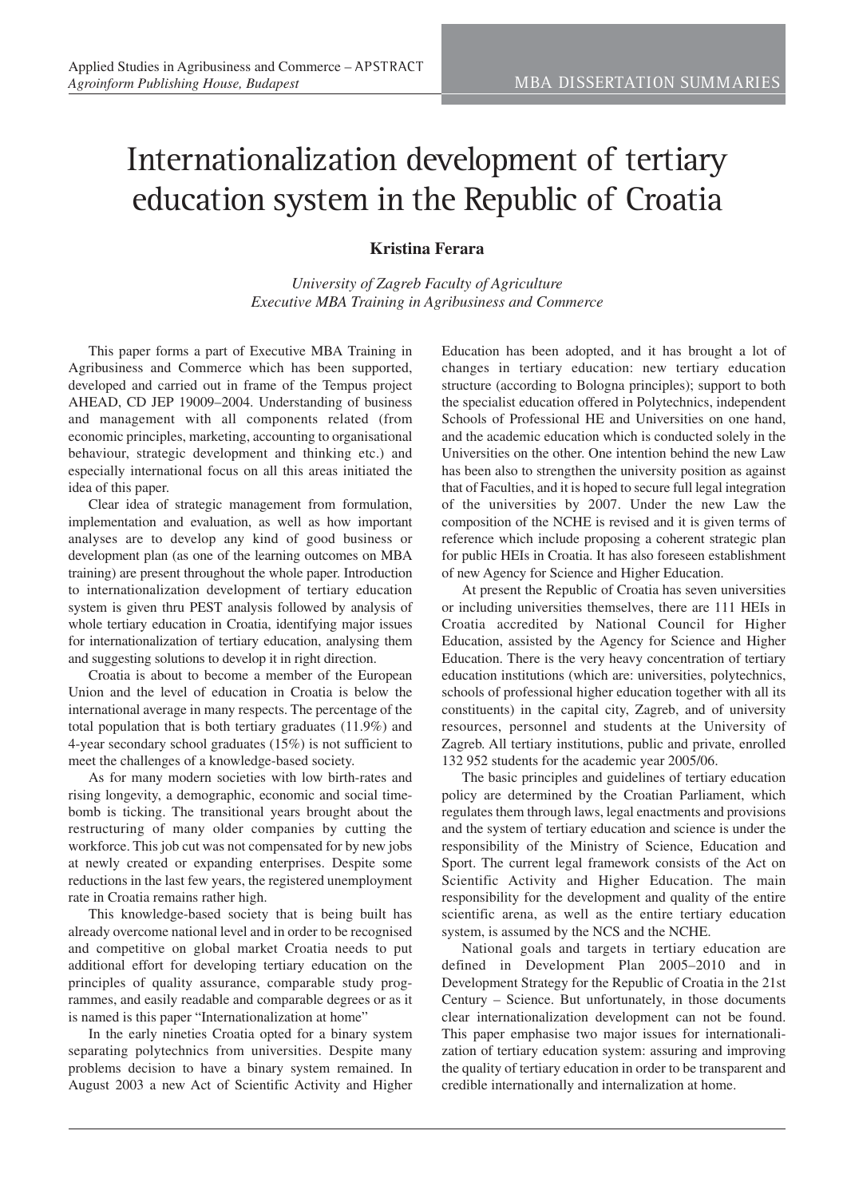## Internationalization development of tertiary education system in the Republic of Croatia

## **Kristina Ferara**

*University of Zagreb Faculty of Agriculture Executive MBA Training in Agribusiness and Commerce*

This paper forms a part of Executive MBA Training in Agribusiness and Commerce which has been supported, developed and carried out in frame of the Tempus project AHEAD, CD JEP 19009–2004. Understanding of business and management with all components related (from economic principles, marketing, accounting to organisational behaviour, strategic development and thinking etc.) and especially international focus on all this areas initiated the idea of this paper.

Clear idea of strategic management from formulation, implementation and evaluation, as well as how important analyses are to develop any kind of good business or development plan (as one of the learning outcomes on MBA training) are present throughout the whole paper. Introduction to internationalization development of tertiary education system is given thru PEST analysis followed by analysis of whole tertiary education in Croatia, identifying major issues for internationalization of tertiary education, analysing them and suggesting solutions to develop it in right direction.

Croatia is about to become a member of the European Union and the level of education in Croatia is below the international average in many respects. The percentage of the total population that is both tertiary graduates (11.9%) and 4-year secondary school graduates (15%) is not sufficient to meet the challenges of a knowledge-based society.

As for many modern societies with low birth-rates and rising longevity, a demographic, economic and social timebomb is ticking. The transitional years brought about the restructuring of many older companies by cutting the workforce. This job cut was not compensated for by new jobs at newly created or expanding enterprises. Despite some reductions in the last few years, the registered unemployment rate in Croatia remains rather high.

This knowledge-based society that is being built has already overcome national level and in order to be recognised and competitive on global market Croatia needs to put additional effort for developing tertiary education on the principles of quality assurance, comparable study programmes, and easily readable and comparable degrees or as it is named is this paper "Internationalization at home"

In the early nineties Croatia opted for a binary system separating polytechnics from universities. Despite many problems decision to have a binary system remained. In August 2003 a new Act of Scientific Activity and Higher Education has been adopted, and it has brought a lot of changes in tertiary education: new tertiary education structure (according to Bologna principles); support to both the specialist education offered in Polytechnics, independent Schools of Professional HE and Universities on one hand, and the academic education which is conducted solely in the Universities on the other. One intention behind the new Law has been also to strengthen the university position as against that of Faculties, and it is hoped to secure full legal integration of the universities by 2007. Under the new Law the composition of the NCHE is revised and it is given terms of reference which include proposing a coherent strategic plan for public HEIs in Croatia. It has also foreseen establishment of new Agency for Science and Higher Education.

At present the Republic of Croatia has seven universities or including universities themselves, there are 111 HEIs in Croatia accredited by National Council for Higher Education, assisted by the Agency for Science and Higher Education. There is the very heavy concentration of tertiary education institutions (which are: universities, polytechnics, schools of professional higher education together with all its constituents) in the capital city, Zagreb, and of university resources, personnel and students at the University of Zagreb. All tertiary institutions, public and private, enrolled 132 952 students for the academic year 2005/06.

The basic principles and guidelines of tertiary education policy are determined by the Croatian Parliament, which regulates them through laws, legal enactments and provisions and the system of tertiary education and science is under the responsibility of the Ministry of Science, Education and Sport. The current legal framework consists of the Act on Scientific Activity and Higher Education. The main responsibility for the development and quality of the entire scientific arena, as well as the entire tertiary education system, is assumed by the NCS and the NCHE.

National goals and targets in tertiary education are defined in Development Plan 2005–2010 and in Development Strategy for the Republic of Croatia in the 21st Century – Science. But unfortunately, in those documents clear internationalization development can not be found. This paper emphasise two major issues for internationalization of tertiary education system: assuring and improving the quality of tertiary education in order to be transparent and credible internationally and internalization at home.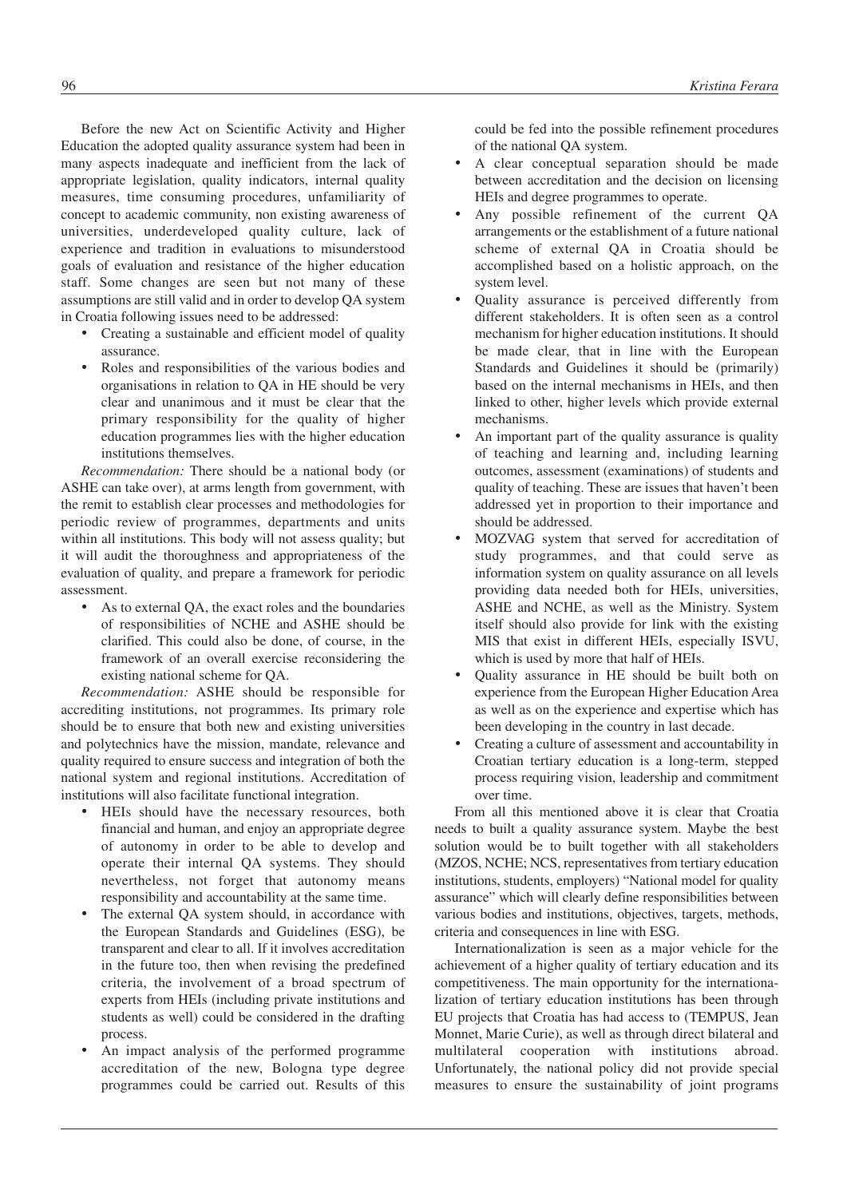Before the new Act on Scientific Activity and Higher Education the adopted quality assurance system had been in many aspects inadequate and inefficient from the lack of appropriate legislation, quality indicators, internal quality measures, time consuming procedures, unfamiliarity of concept to academic community, non existing awareness of universities, underdeveloped quality culture, lack of experience and tradition in evaluations to misunderstood goals of evaluation and resistance of the higher education staff. Some changes are seen but not many of these assumptions are still valid and in order to develop QA system in Croatia following issues need to be addressed:

- Creating a sustainable and efficient model of quality assurance.
- Roles and responsibilities of the various bodies and organisations in relation to QA in HE should be very clear and unanimous and it must be clear that the primary responsibility for the quality of higher education programmes lies with the higher education institutions themselves.

*Recommendation:* There should be a national body (or ASHE can take over), at arms length from government, with the remit to establish clear processes and methodologies for periodic review of programmes, departments and units within all institutions. This body will not assess quality; but it will audit the thoroughness and appropriateness of the evaluation of quality, and prepare a framework for periodic assessment.

As to external QA, the exact roles and the boundaries of responsibilities of NCHE and ASHE should be clarified. This could also be done, of course, in the framework of an overall exercise reconsidering the existing national scheme for QA.

*Recommendation:* ASHE should be responsible for accrediting institutions, not programmes. Its primary role should be to ensure that both new and existing universities and polytechnics have the mission, mandate, relevance and quality required to ensure success and integration of both the national system and regional institutions. Accreditation of institutions will also facilitate functional integration.

- HEIs should have the necessary resources, both financial and human, and enjoy an appropriate degree of autonomy in order to be able to develop and operate their internal QA systems. They should nevertheless, not forget that autonomy means responsibility and accountability at the same time.
- The external QA system should, in accordance with the European Standards and Guidelines (ESG), be transparent and clear to all. If it involves accreditation in the future too, then when revising the predefined criteria, the involvement of a broad spectrum of experts from HEIs (including private institutions and students as well) could be considered in the drafting process.
- An impact analysis of the performed programme accreditation of the new, Bologna type degree programmes could be carried out. Results of this

could be fed into the possible refinement procedures of the national QA system.

- A clear conceptual separation should be made between accreditation and the decision on licensing HEIs and degree programmes to operate.
- Any possible refinement of the current QA arrangements or the establishment of a future national scheme of external QA in Croatia should be accomplished based on a holistic approach, on the system level.
- Quality assurance is perceived differently from different stakeholders. It is often seen as a control mechanism for higher education institutions. It should be made clear, that in line with the European Standards and Guidelines it should be (primarily) based on the internal mechanisms in HEIs, and then linked to other, higher levels which provide external mechanisms.
- An important part of the quality assurance is quality of teaching and learning and, including learning outcomes, assessment (examinations) of students and quality of teaching. These are issues that haven't been addressed yet in proportion to their importance and should be addressed.
- MOZVAG system that served for accreditation of study programmes, and that could serve as information system on quality assurance on all levels providing data needed both for HEIs, universities, ASHE and NCHE, as well as the Ministry. System itself should also provide for link with the existing MIS that exist in different HEIs, especially ISVU, which is used by more that half of HEIs.
- Quality assurance in HE should be built both on experience from the European Higher Education Area as well as on the experience and expertise which has been developing in the country in last decade.
- Creating a culture of assessment and accountability in Croatian tertiary education is a long-term, stepped process requiring vision, leadership and commitment over time.

From all this mentioned above it is clear that Croatia needs to built a quality assurance system. Maybe the best solution would be to built together with all stakeholders (MZOS, NCHE; NCS, representatives from tertiary education institutions, students, employers) "National model for quality assurance" which will clearly define responsibilities between various bodies and institutions, objectives, targets, methods, criteria and consequences in line with ESG.

Internationalization is seen as a major vehicle for the achievement of a higher quality of tertiary education and its competitiveness. The main opportunity for the internationalization of tertiary education institutions has been through EU projects that Croatia has had access to (TEMPUS, Jean Monnet, Marie Curie), as well as through direct bilateral and multilateral cooperation with institutions abroad. Unfortunately, the national policy did not provide special measures to ensure the sustainability of joint programs